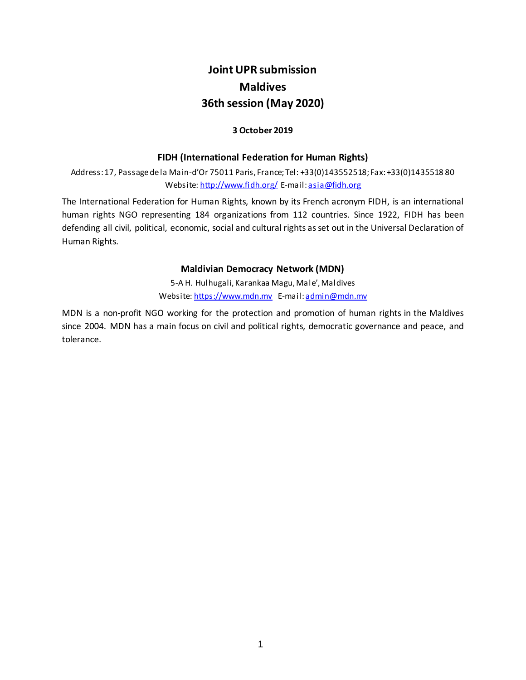# **Joint UPR submission Maldives 36th session (May 2020)**

#### **3 October 2019**

#### **FIDH (International Federation for Human Rights)**

Address: 17, Passage de la Main-d'Or 75011 Paris, France; Tel: +33(0)143552518; Fax: +33(0)1435518 80 Website[: http://www.fidh.org/](http://www.fidh.org/) E-mail[: asia@fidh.org](mailto:fidh@fidh.org)

The International Federation for Human Rights, known by its French acronym FIDH, is an international human rights NGO representing 184 organizations from 112 countries. Since 1922, FIDH has been defending all civil, political, economic, social and cultural rights as set out in the Universal Declaration of Human Rights.

#### **Maldivian Democracy Network (MDN)**

5-A H. Hulhugali, Karankaa Magu, Male', Maldives Website[: https://www.mdn.mv](https://www.mdn.mv/) E-mail[: admin@mdn.mv](mailto:admin@mdn.mv)

MDN is a non-profit NGO working for the protection and promotion of human rights in the Maldives since 2004. MDN has a main focus on civil and political rights, democratic governance and peace, and tolerance.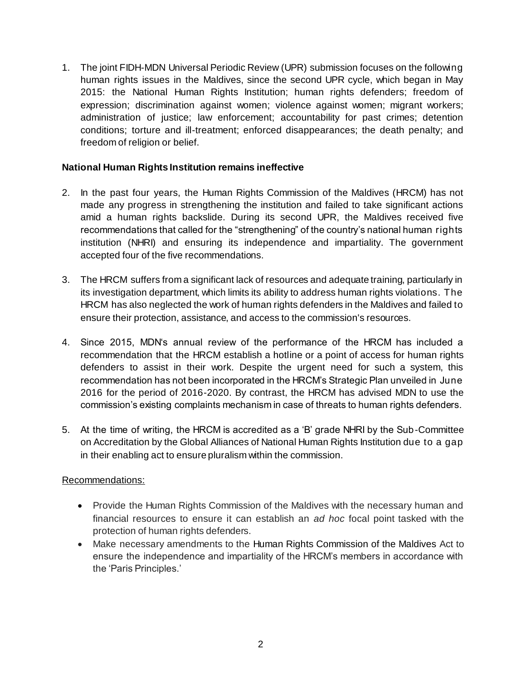1. The joint FIDH-MDN Universal Periodic Review (UPR) submission focuses on the following human rights issues in the Maldives, since the second UPR cycle, which began in May 2015: the National Human Rights Institution; human rights defenders; freedom of expression; discrimination against women; violence against women; migrant workers; administration of justice; law enforcement; accountability for past crimes; detention conditions; torture and ill-treatment; enforced disappearances; the death penalty; and freedom of religion or belief.

#### **National Human Rights Institution remains ineffective**

- 2. In the past four years, the Human Rights Commission of the Maldives (HRCM) has not made any progress in strengthening the institution and failed to take significant actions amid a human rights backslide. During its second UPR, the Maldives received five recommendations that called for the "strengthening" of the country's national human rights institution (NHRI) and ensuring its independence and impartiality. The government accepted four of the five recommendations.
- 3. The HRCM suffers from a significant lack of resources and adequate training, particularly in its investigation department, which limits its ability to address human rights violations. The HRCM has also neglected the work of human rights defenders in the Maldives and failed to ensure their protection, assistance, and access to the commission's resources.
- 4. Since 2015, MDN's annual review of the performance of the HRCM has included a recommendation that the HRCM establish a hotline or a point of access for human rights defenders to assist in their work. Despite the urgent need for such a system, this recommendation has not been incorporated in the HRCM's Strategic Plan unveiled in June 2016 for the period of 2016-2020. By contrast, the HRCM has advised MDN to use the commission's existing complaints mechanism in case of threats to human rights defenders.
- 5. At the time of writing, the HRCM is accredited as a 'B' grade NHRI by the Sub-Committee on Accreditation by the Global Alliances of National Human Rights Institution due to a gap in their enabling act to ensure pluralism within the commission.

- Provide the Human Rights Commission of the Maldives with the necessary human and financial resources to ensure it can establish an *ad hoc* focal point tasked with the protection of human rights defenders.
- Make necessary amendments to the Human Rights Commission of the Maldives Act to ensure the independence and impartiality of the HRCM's members in accordance with the 'Paris Principles.'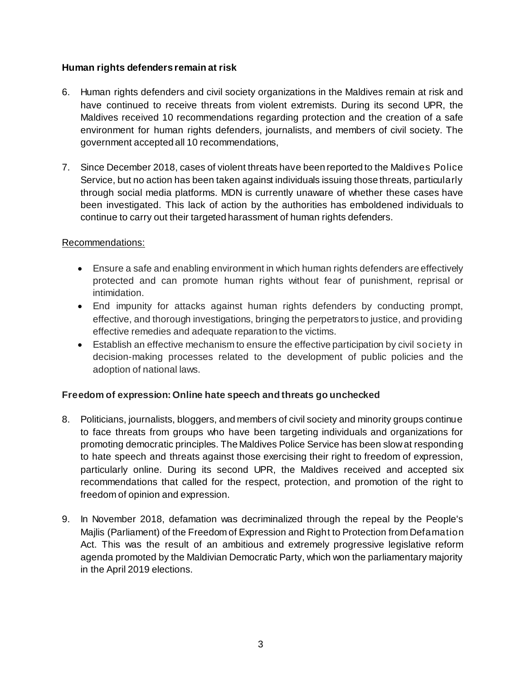#### **Human rights defenders remain at risk**

- 6. Human rights defenders and civil society organizations in the Maldives remain at risk and have continued to receive threats from violent extremists. During its second UPR, the Maldives received 10 recommendations regarding protection and the creation of a safe environment for human rights defenders, journalists, and members of civil society. The government accepted all 10 recommendations,
- 7. Since December 2018, cases of violent threats have been reported to the Maldives Police Service, but no action has been taken against individuals issuing those threats, particularly through social media platforms. MDN is currently unaware of whether these cases have been investigated. This lack of action by the authorities has emboldened individuals to continue to carry out their targeted harassment of human rights defenders.

#### Recommendations:

- Ensure a safe and enabling environment in which human rights defenders are effectively protected and can promote human rights without fear of punishment, reprisal or intimidation.
- End impunity for attacks against human rights defenders by conducting prompt, effective, and thorough investigations, bringing the perpetrators to justice, and providing effective remedies and adequate reparation to the victims.
- Establish an effective mechanism to ensure the effective participation by civil society in decision-making processes related to the development of public policies and the adoption of national laws.

## **Freedom of expression: Online hate speech and threats go unchecked**

- 8. Politicians, journalists, bloggers, and members of civil society and minority groups continue to face threats from groups who have been targeting individuals and organizations for promoting democratic principles. The Maldives Police Service has been slow at responding to hate speech and threats against those exercising their right to freedom of expression, particularly online. During its second UPR, the Maldives received and accepted six recommendations that called for the respect, protection, and promotion of the right to freedom of opinion and expression.
- 9. In November 2018, defamation was decriminalized through the repeal by the People's Majlis (Parliament) of the Freedom of Expression and Right to Protection from Defamation Act. This was the result of an ambitious and extremely progressive legislative reform agenda promoted by the Maldivian Democratic Party, which won the parliamentary majority in the April 2019 elections.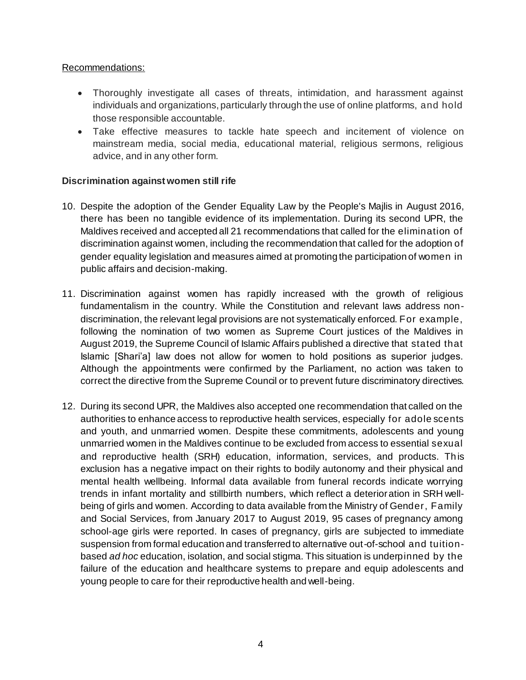#### Recommendations:

- Thoroughly investigate all cases of threats, intimidation, and harassment against individuals and organizations, particularly through the use of online platforms, and hold those responsible accountable.
- Take effective measures to tackle hate speech and incitement of violence on mainstream media, social media, educational material, religious sermons, religious advice, and in any other form.

## **Discrimination against women still rife**

- 10. Despite the adoption of the Gender Equality Law by the People's Majlis in August 2016, there has been no tangible evidence of its implementation. During its second UPR, the Maldives received and accepted all 21 recommendations that called for the elimination of discrimination against women, including the recommendation that called for the adoption of gender equality legislation and measures aimed at promoting the participation of women in public affairs and decision-making.
- 11. Discrimination against women has rapidly increased with the growth of religious fundamentalism in the country. While the Constitution and relevant laws address nondiscrimination, the relevant legal provisions are not systematically enforced. For example, following the nomination of two women as Supreme Court justices of the Maldives in August 2019, the Supreme Council of Islamic Affairs published a directive that stated that Islamic [Shari'a] law does not allow for women to hold positions as superior judges. Although the appointments were confirmed by the Parliament, no action was taken to correct the directive from the Supreme Council or to prevent future discriminatory directives.
- 12. During its second UPR, the Maldives also accepted one recommendation that called on the authorities to enhance access to reproductive health services, especially for adole scents and youth, and unmarried women. Despite these commitments, adolescents and young unmarried women in the Maldives continue to be excluded from access to essential sexual and reproductive health (SRH) education, information, services, and products. Th is exclusion has a negative impact on their rights to bodily autonomy and their physical and mental health wellbeing. Informal data available from funeral records indicate worrying trends in infant mortality and stillbirth numbers, which reflect a deterioration in SRH wellbeing of girls and women. According to data available from the Ministry of Gender, Family and Social Services, from January 2017 to August 2019, 95 cases of pregnancy among school-age girls were reported. In cases of pregnancy, girls are subjected to immediate suspension from formal education and transferred to alternative out-of-school and tuitionbased *ad hoc* education, isolation, and social stigma. This situation is underpinned by the failure of the education and healthcare systems to prepare and equip adolescents and young people to care for their reproductive health and well-being.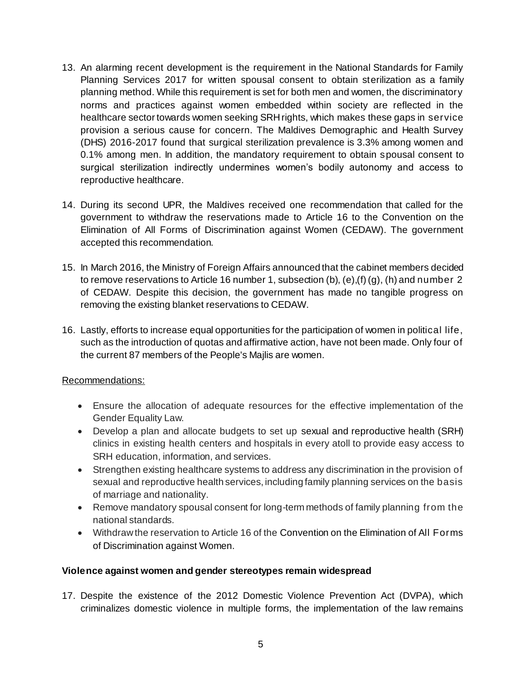- 13. An alarming recent development is the requirement in the National Standards for Family Planning Services 2017 for written spousal consent to obtain sterilization as a family planning method. While this requirement is set for both men and women, the discriminatory norms and practices against women embedded within society are reflected in the healthcare sector towards women seeking SRH rights, which makes these gaps in service provision a serious cause for concern. The Maldives Demographic and Health Survey (DHS) 2016-2017 found that surgical sterilization prevalence is 3.3% among women and 0.1% among men. In addition, the mandatory requirement to obtain spousal consent to surgical sterilization indirectly undermines women's bodily autonomy and access to reproductive healthcare.
- 14. During its second UPR, the Maldives received one recommendation that called for the government to withdraw the reservations made to Article 16 to the Convention on the Elimination of All Forms of Discrimination against Women (CEDAW). The government accepted this recommendation.
- 15. In March 2016, the Ministry of Foreign Affairs announced that the cabinet members decided to remove reservations to Article 16 number 1, subsection (b), (e),(f) (g), (h) and number 2 of CEDAW. Despite this decision, the government has made no tangible progress on removing the existing blanket reservations to CEDAW.
- 16. Lastly, efforts to increase equal opportunities for the participation of women in political life, such as the introduction of quotas and affirmative action, have not been made. Only four of the current 87 members of the People's Majlis are women.

## Recommendations:

- Ensure the allocation of adequate resources for the effective implementation of the Gender Equality Law.
- Develop a plan and allocate budgets to set up sexual and reproductive health (SRH) clinics in existing health centers and hospitals in every atoll to provide easy access to SRH education, information, and services.
- Strengthen existing healthcare systems to address any discrimination in the provision of sexual and reproductive health services, including family planning services on the basis of marriage and nationality.
- Remove mandatory spousal consent for long-term methods of family planning from the national standards.
- Withdraw the reservation to Article 16 of the Convention on the Elimination of All Forms of Discrimination against Women.

## **Violence against women and gender stereotypes remain widespread**

17. Despite the existence of the 2012 Domestic Violence Prevention Act (DVPA), which criminalizes domestic violence in multiple forms, the implementation of the law remains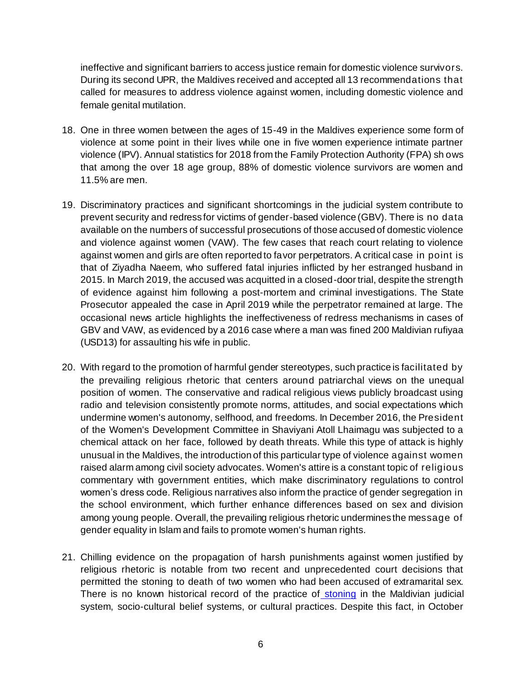ineffective and significant barriers to access justice remain for domestic violence survivors. During its second UPR, the Maldives received and accepted all 13 recommendations that called for measures to address violence against women, including domestic violence and female genital mutilation.

- 18. One in three women between the ages of 15-49 in the Maldives experience some form of violence at some point in their lives while one in five women experience intimate partner violence (IPV). Annual statistics for 2018 from the Family Protection Authority (FPA) sh ows that among the over 18 age group, 88% of domestic violence survivors are women and 11.5% are men.
- 19. Discriminatory practices and significant shortcomings in the judicial system contribute to prevent security and redress for victims of gender-based violence (GBV). There is no data available on the numbers of successful prosecutions of those accused of domestic violence and violence against women (VAW). The few cases that reach court relating to violence against women and girls are often reported to favor perpetrators. A critical case in point is that of Ziyadha Naeem, who suffered fatal injuries inflicted by her estranged husband in 2015. In March 2019, the accused was acquitted in a closed-door trial, despite the strength of evidence against him following a post-mortem and criminal investigations. The State Prosecutor appealed the case in April 2019 while the perpetrator remained at large. The occasional news article highlights the ineffectiveness of redress mechanisms in cases of GBV and VAW, as evidenced by a 2016 case where a man was fined 200 Maldivian rufiyaa (USD13) for assaulting his wife in public.
- 20. With regard to the promotion of harmful gender stereotypes, such practice is facilitated by the prevailing religious rhetoric that centers around patriarchal views on the unequal position of women. The conservative and radical religious views publicly broadcast using radio and television consistently promote norms, attitudes, and social expectations which undermine women's autonomy, selfhood, and freedoms. In December 2016, the President of the Women's Development Committee in Shaviyani Atoll Lhaimagu was subjected to a chemical attack on her face, followed by death threats. While this type of attack is highly unusual in the Maldives, the introduction of this particular type of violence against women raised alarm among civil society advocates. Women's attire is a constant topic of religious commentary with government entities, which make discriminatory regulations to control women's dress code. Religious narratives also inform the practice of gender segregation in the school environment, which further enhance differences based on sex and division among young people. Overall, the prevailing religious rhetoric undermines the message of gender equality in Islam and fails to promote women's human rights.
- 21. Chilling evidence on the propagation of harsh punishments against women justified by religious rhetoric is notable from two recent and unprecedented court decisions that permitted the stoning to death of two women who had been accused of extramarital sex. There is no known historical record o[f](https://www.dhivehisitee.com/judiciary/the-gemanafushi-stoning-rule/) the practice of [stoning](https://www.dhivehisitee.com/judiciary/the-gemanafushi-stoning-rule/) in the Maldivian judicial system, socio-cultural belief systems, or cultural practices. Despite this fact, in October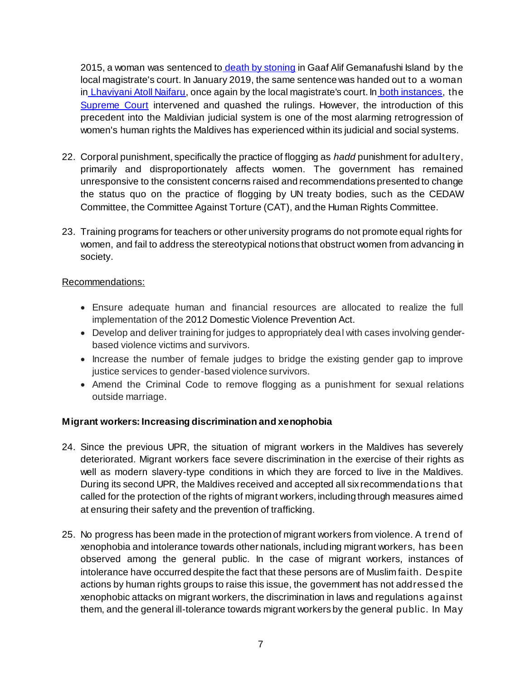2015, a woman was sentenced to [death by stoning](https://maldivesindependent.com/crime-2/maldives-court-sentences-woman-to-death-by-stoning-118541) in Gaaf Alif Gemanafushi Island by the local magistrate's court. In January 2019, the same sentence was handed out to a woman i[n](https://maldivesindependent.com/crime-2/maldives-top-court-quashes-death-by-stoning-verdict-for-adultery-143374) [Lhaviyani Atoll Naifaru,](https://maldivesindependent.com/crime-2/maldives-top-court-quashes-death-by-stoning-verdict-for-adultery-143374) once again by the local magistrate's court. In [both instances,](https://maldivesindependent.com/crime-2/maldives-top-court-quashes-death-by-stoning-verdict-for-adultery-143374) th[e](https://www.telegraph.co.uk/news/worldnews/africaandindianocean/maldives/11940419/Maldives-woman-sentenced-to-death-by-stoning-wins-reprieve.html) [Supreme Court](https://www.telegraph.co.uk/news/worldnews/africaandindianocean/maldives/11940419/Maldives-woman-sentenced-to-death-by-stoning-wins-reprieve.html) intervened and quashed the rulings. However, the introduction of this precedent into the Maldivian judicial system is one of the most alarming retrogression of women's human rights the Maldives has experienced within its judicial and social systems.

- 22. Corporal punishment, specifically the practice of flogging as *hadd* punishment for adultery, primarily and disproportionately affects women. The government has remained unresponsive to the consistent concerns raised and recommendations presented to change the status quo on the practice of flogging by UN treaty bodies, such as the CEDAW Committee, the Committee Against Torture (CAT), and the Human Rights Committee.
- 23. Training programs for teachers or other university programs do not promote equal rights for women, and fail to address the stereotypical notions that obstruct women from advancing in society.

#### Recommendations:

- Ensure adequate human and financial resources are allocated to realize the full implementation of the 2012 Domestic Violence Prevention Act.
- Develop and deliver training for judges to appropriately deal with cases involving genderbased violence victims and survivors.
- Increase the number of female judges to bridge the existing gender gap to improve justice services to gender-based violence survivors.
- Amend the Criminal Code to remove flogging as a punishment for sexual relations outside marriage.

## **Migrant workers: Increasing discrimination and xenophobia**

- 24. Since the previous UPR, the situation of migrant workers in the Maldives has severely deteriorated. Migrant workers face severe discrimination in the exercise of their rights as well as modern slavery-type conditions in which they are forced to live in the Maldives. During its second UPR, the Maldives received and accepted all six recommendations that called for the protection of the rights of migrant workers, including through measures aimed at ensuring their safety and the prevention of trafficking.
- 25. No progress has been made in the protection of migrant workers from violence. A trend of xenophobia and intolerance towards other nationals, including migrant workers, has been observed among the general public. In the case of migrant workers, instances of intolerance have occurred despite the fact that these persons are of Muslim faith. Despite actions by human rights groups to raise this issue, the government has not addressed the xenophobic attacks on migrant workers, the discrimination in laws and regulations against them, and the general ill-tolerance towards migrant workers by the general public. In May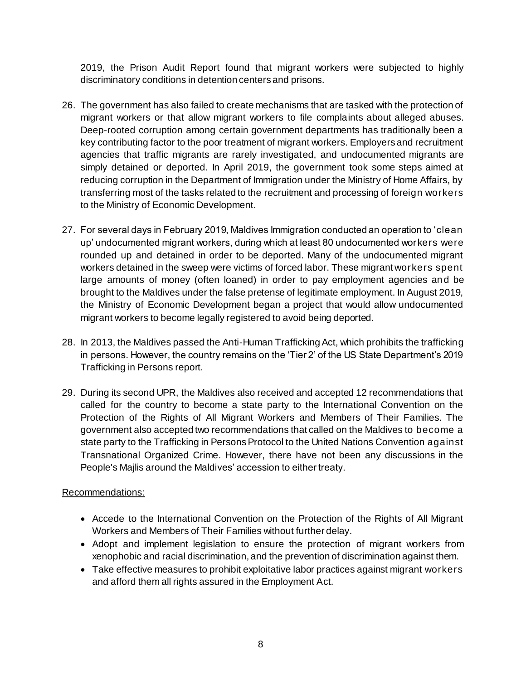2019, the Prison Audit Report found that migrant workers were subjected to highly discriminatory conditions in detention centers and prisons.

- 26. The government has also failed to create mechanisms that are tasked with the protection of migrant workers or that allow migrant workers to file complaints about alleged abuses. Deep-rooted corruption among certain government departments has traditionally been a key contributing factor to the poor treatment of migrant workers. Employers and recruitment agencies that traffic migrants are rarely investigated, and undocumented migrants are simply detained or deported. In April 2019, the government took some steps aimed at reducing corruption in the Department of Immigration under the Ministry of Home Affairs, by transferring most of the tasks related to the recruitment and processing of foreign workers to the Ministry of Economic Development.
- 27. For several days in February 2019, Maldives Immigration conducted an operation to 'clean up' undocumented migrant workers, during which at least 80 undocumented wor kers were rounded up and detained in order to be deported. Many of the undocumented migrant workers detained in the sweep were victims of forced labor. These migrant workers spent large amounts of money (often loaned) in order to pay employment agencies and be brought to the Maldives under the false pretense of legitimate employment. In August 2019, the Ministry of Economic Development began a project that would allow undocumented migrant workers to become legally registered to avoid being deported.
- 28. In 2013, the Maldives passed the Anti-Human Trafficking Act, which prohibits the trafficking in persons. However, the country remains on the 'Tier 2' of the US State Department's 2019 Trafficking in Persons report.
- 29. During its second UPR, the Maldives also received and accepted 12 recommendations that called for the country to become a state party to the International Convention on the Protection of the Rights of All Migrant Workers and Members of Their Families. The government also accepted two recommendations that called on the Maldives to become a state party to the Trafficking in Persons Protocol to the United Nations Convention against Transnational Organized Crime. However, there have not been any discussions in the People's Majlis around the Maldives' accession to either treaty.

- Accede to the International Convention on the Protection of the Rights of All Migrant Workers and Members of Their Families without further delay.
- Adopt and implement legislation to ensure the protection of migrant workers from xenophobic and racial discrimination, and the prevention of discrimination against them.
- Take effective measures to prohibit exploitative labor practices against migrant workers and afford them all rights assured in the Employment Act.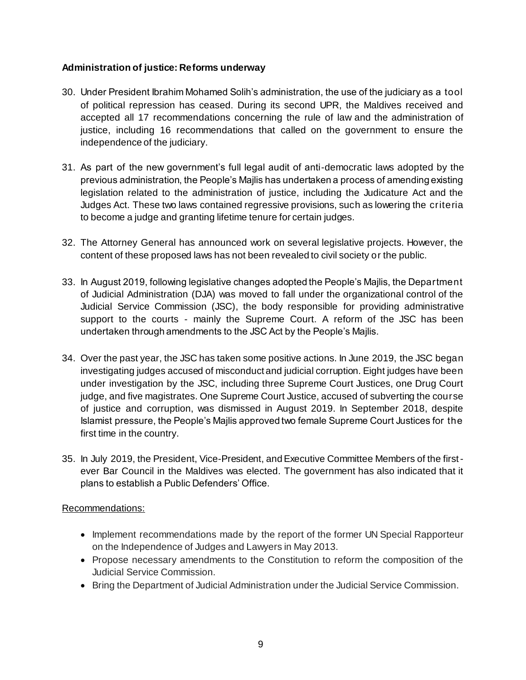#### **Administration of justice: Reforms underway**

- 30. Under President Ibrahim Mohamed Solih's administration, the use of the judiciary as a tool of political repression has ceased. During its second UPR, the Maldives received and accepted all 17 recommendations concerning the rule of law and the administration of justice, including 16 recommendations that called on the government to ensure the independence of the judiciary.
- 31. As part of the new government's full legal audit of anti-democratic laws adopted by the previous administration, the People's Majlis has undertaken a process of amending existing legislation related to the administration of justice, including the Judicature Act and the Judges Act. These two laws contained regressive provisions, such as lowering the criteria to become a judge and granting lifetime tenure for certain judges.
- 32. The Attorney General has announced work on several legislative projects. However, the content of these proposed laws has not been revealed to civil society or the public.
- 33. In August 2019, following legislative changes adopted the People's Majlis, the Department of Judicial Administration (DJA) was moved to fall under the organizational control of the Judicial Service Commission (JSC), the body responsible for providing administrative support to the courts - mainly the Supreme Court. A reform of the JSC has been undertaken through amendments to the JSC Act by the People's Majlis.
- 34. Over the past year, the JSC has taken some positive actions. In June 2019, the JSC began investigating judges accused of misconduct and judicial corruption. Eight judges have been under investigation by the JSC, including three Supreme Court Justices, one Drug Court judge, and five magistrates. One Supreme Court Justice, accused of subverting the course of justice and corruption, was dismissed in August 2019. In September 2018, despite Islamist pressure, the People's Majlis approved two female Supreme Court Justices for the first time in the country.
- 35. In July 2019, the President, Vice-President, and Executive Committee Members of the firstever Bar Council in the Maldives was elected. The government has also indicated that it plans to establish a Public Defenders' Office.

- Implement recommendations made by the report of the former UN Special Rapporteur on the Independence of Judges and Lawyers in May 2013.
- Propose necessary amendments to the Constitution to reform the composition of the Judicial Service Commission.
- Bring the Department of Judicial Administration under the Judicial Service Commission.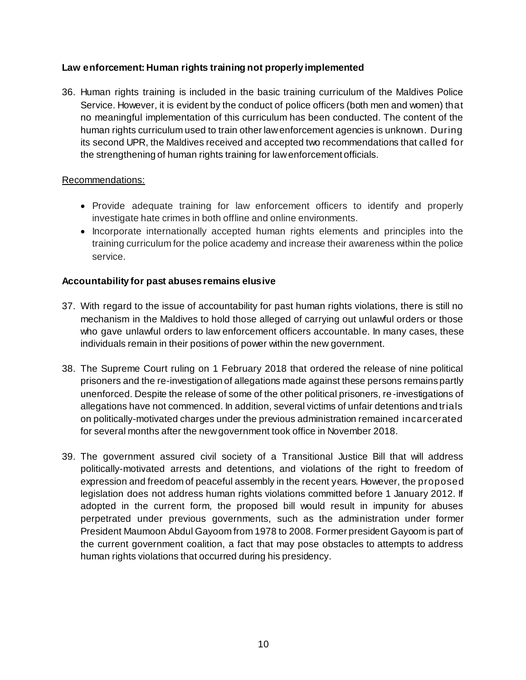## **Law enforcement: Human rights training not properly implemented**

36. Human rights training is included in the basic training curriculum of the Maldives Police Service. However, it is evident by the conduct of police officers (both men and women) that no meaningful implementation of this curriculum has been conducted. The content of the human rights curriculum used to train other law enforcement agencies is unknown. During its second UPR, the Maldives received and accepted two recommendations that called for the strengthening of human rights training for law enforcement officials.

#### Recommendations:

- Provide adequate training for law enforcement officers to identify and properly investigate hate crimes in both offline and online environments.
- Incorporate internationally accepted human rights elements and principles into the training curriculum for the police academy and increase their awareness within the police service.

#### **Accountability for past abuses remains elusive**

- 37. With regard to the issue of accountability for past human rights violations, there is still no mechanism in the Maldives to hold those alleged of carrying out unlawful orders or those who gave unlawful orders to law enforcement officers accountable. In many cases, these individuals remain in their positions of power within the new government.
- 38. The Supreme Court ruling on 1 February 2018 that ordered the release of nine political prisoners and the re-investigation of allegations made against these persons remains partly unenforced. Despite the release of some of the other political prisoners, re-investigations of allegations have not commenced. In addition, several victims of unfair detentions and trials on politically-motivated charges under the previous administration remained incarcerated for several months after the new government took office in November 2018.
- 39. The government assured civil society of a Transitional Justice Bill that will address politically-motivated arrests and detentions, and violations of the right to freedom of expression and freedom of peaceful assembly in the recent years. However, the proposed legislation does not address human rights violations committed before 1 January 2012. If adopted in the current form, the proposed bill would result in impunity for abuses perpetrated under previous governments, such as the administration under former President Maumoon Abdul Gayoom from 1978 to 2008. Former president Gayoom is part of the current government coalition, a fact that may pose obstacles to attempts to address human rights violations that occurred during his presidency.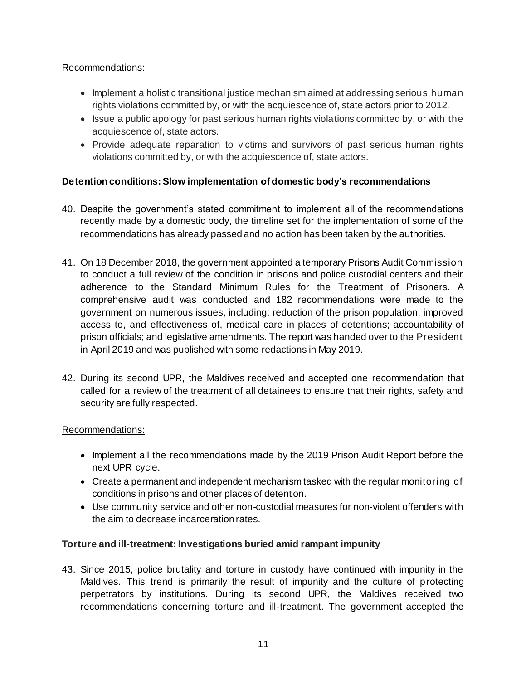## Recommendations:

- Implement a holistic transitional justice mechanism aimed at addressing serious human rights violations committed by, or with the acquiescence of, state actors prior to 2012.
- Issue a public apology for past serious human rights violations committed by, or with the acquiescence of, state actors.
- Provide adequate reparation to victims and survivors of past serious human rights violations committed by, or with the acquiescence of, state actors.

# **Detention conditions: Slow implementation of domestic body's recommendations**

- 40. Despite the government's stated commitment to implement all of the recommendations recently made by a domestic body, the timeline set for the implementation of some of the recommendations has already passed and no action has been taken by the authorities.
- 41. On 18 December 2018, the government appointed a temporary Prisons Audit Commission to conduct a full review of the condition in prisons and police custodial centers and their adherence to the Standard Minimum Rules for the Treatment of Prisoners. A comprehensive audit was conducted and 182 recommendations were made to the government on numerous issues, including: reduction of the prison population; improved access to, and effectiveness of, medical care in places of detentions; accountability of prison officials; and legislative amendments. The report was handed over to the President in April 2019 and was published with some redactions in May 2019.
- 42. During its second UPR, the Maldives received and accepted one recommendation that called for a review of the treatment of all detainees to ensure that their rights, safety and security are fully respected.

## Recommendations:

- Implement all the recommendations made by the 2019 Prison Audit Report before the next UPR cycle.
- Create a permanent and independent mechanism tasked with the regular monitoring of conditions in prisons and other places of detention.
- Use community service and other non-custodial measures for non-violent offenders with the aim to decrease incarceration rates.

# **Torture and ill-treatment: Investigations buried amid rampant impunity**

43. Since 2015, police brutality and torture in custody have continued with impunity in the Maldives. This trend is primarily the result of impunity and the culture of protecting perpetrators by institutions. During its second UPR, the Maldives received two recommendations concerning torture and ill-treatment. The government accepted the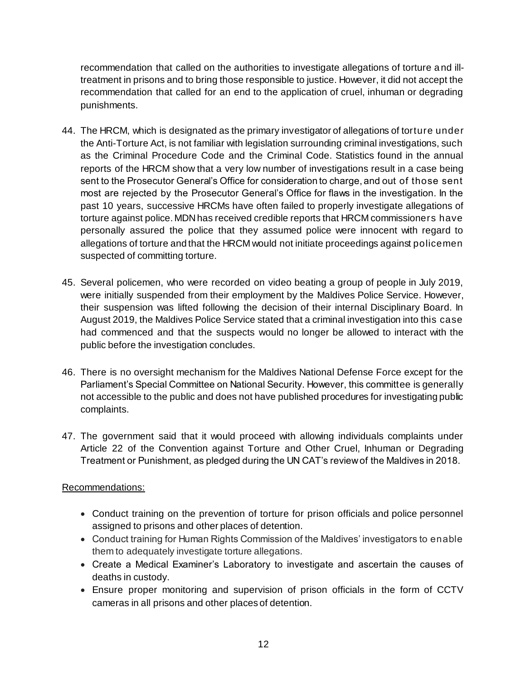recommendation that called on the authorities to investigate allegations of torture a nd illtreatment in prisons and to bring those responsible to justice. However, it did not accept the recommendation that called for an end to the application of cruel, inhuman or degrading punishments.

- 44. The HRCM, which is designated as the primary investigator of allegations of torture under the Anti-Torture Act, is not familiar with legislation surrounding criminal investigations, such as the Criminal Procedure Code and the Criminal Code. Statistics found in the annual reports of the HRCM show that a very low number of investigations result in a case being sent to the Prosecutor General's Office for consideration to charge, and out of those sent most are rejected by the Prosecutor General's Office for flaws in the investigation. In the past 10 years, successive HRCMs have often failed to properly investigate allegations of torture against police. MDN has received credible reports that HRCM commissioners have personally assured the police that they assumed police were innocent with regard to allegations of torture and that the HRCM would not initiate proceedings against policemen suspected of committing torture.
- 45. Several policemen, who were recorded on video beating a group of people in July 2019, were initially suspended from their employment by the Maldives Police Service. However, their suspension was lifted following the decision of their internal Disciplinary Board. In August 2019, the Maldives Police Service stated that a criminal investigation into this case had commenced and that the suspects would no longer be allowed to interact with the public before the investigation concludes.
- 46. There is no oversight mechanism for the Maldives National Defense Force except for the Parliament's Special Committee on National Security. However, this committee is generally not accessible to the public and does not have published procedures for investigating public complaints.
- 47. The government said that it would proceed with allowing individuals complaints under Article 22 of the Convention against Torture and Other Cruel, Inhuman or Degrading Treatment or Punishment, as pledged during the UN CAT's review of the Maldives in 2018.

- Conduct training on the prevention of torture for prison officials and police personnel assigned to prisons and other places of detention.
- Conduct training for Human Rights Commission of the Maldives' investigators to enable them to adequately investigate torture allegations.
- Create a Medical Examiner's Laboratory to investigate and ascertain the causes of deaths in custody.
- Ensure proper monitoring and supervision of prison officials in the form of CCTV cameras in all prisons and other places of detention.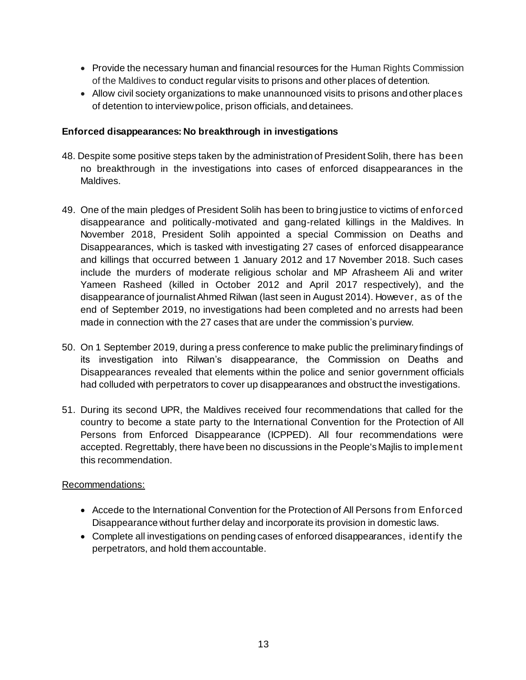- Provide the necessary human and financial resources for the Human Rights Commission of the Maldives to conduct regular visits to prisons and other places of detention.
- Allow civil society organizations to make unannounced visits to prisons and other places of detention to interview police, prison officials, and detainees.

#### **Enforced disappearances: No breakthrough in investigations**

- 48. Despite some positive steps taken by the administration of President Solih, there has been no breakthrough in the investigations into cases of enforced disappearances in the Maldives.
- 49. One of the main pledges of President Solih has been to bring justice to victims of enforced disappearance and politically-motivated and gang-related killings in the Maldives. In November 2018, President Solih appointed a special Commission on Deaths and Disappearances, which is tasked with investigating 27 cases of enforced disappearance and killings that occurred between 1 January 2012 and 17 November 2018. Such cases include the murders of moderate religious scholar and MP Afrasheem Ali and writer Yameen Rasheed (killed in October 2012 and April 2017 respectively), and the disappearance of journalist Ahmed Rilwan (last seen in August 2014). However, as of the end of September 2019, no investigations had been completed and no arrests had been made in connection with the 27 cases that are under the commission's purview.
- 50. On 1 September 2019, during a press conference to make public the preliminary findings of its investigation into Rilwan's disappearance, the Commission on Deaths and Disappearances revealed that elements within the police and senior government officials had colluded with perpetrators to cover up disappearances and obstruct the investigations.
- 51. During its second UPR, the Maldives received four recommendations that called for the country to become a state party to the International Convention for the Protection of All Persons from Enforced Disappearance (ICPPED). All four recommendations were accepted. Regrettably, there have been no discussions in the People's Majlis to implement this recommendation.

- Accede to the International Convention for the Protection of All Persons from Enforced Disappearance without further delay and incorporate its provision in domestic laws.
- Complete all investigations on pending cases of enforced disappearances, identify the perpetrators, and hold them accountable.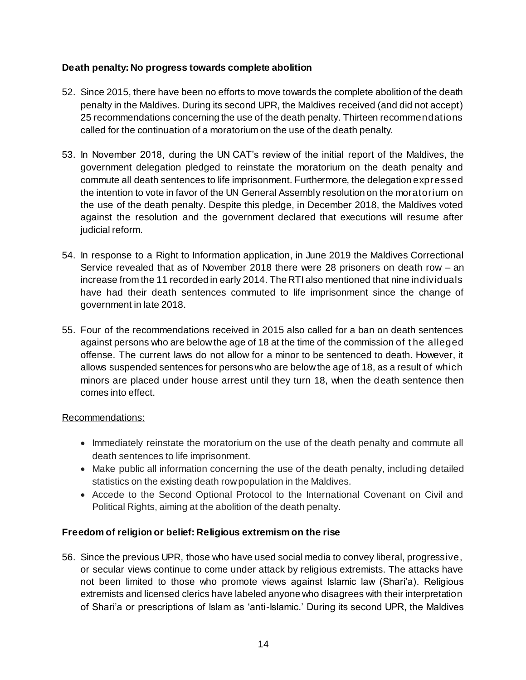## **Death penalty: No progress towards complete abolition**

- 52. Since 2015, there have been no efforts to move towards the complete abolition of the death penalty in the Maldives. During its second UPR, the Maldives received (and did not accept) 25 recommendations concerning the use of the death penalty. Thirteen recommendations called for the continuation of a moratorium on the use of the death penalty.
- 53. In November 2018, during the UN CAT's review of the initial report of the Maldives, the government delegation pledged to reinstate the moratorium on the death penalty and commute all death sentences to life imprisonment. Furthermore, the delegation expressed the intention to vote in favor of the UN General Assembly resolution on the moratorium on the use of the death penalty. Despite this pledge, in December 2018, the Maldives voted against the resolution and the government declared that executions will resume after judicial reform.
- 54. In response to a Right to Information application, in June 2019 the Maldives Correctional Service revealed that as of November 2018 there were 28 prisoners on death row – an increase from the 11 recorded in early 2014. The RTI also mentioned that nine individuals have had their death sentences commuted to life imprisonment since the change of government in late 2018.
- 55. Four of the recommendations received in 2015 also called for a ban on death sentences against persons who are below the age of 18 at the time of the commission of t he alleged offense. The current laws do not allow for a minor to be sentenced to death. However, it allows suspended sentences for persons who are below the age of 18, as a result of which minors are placed under house arrest until they turn 18, when the death sentence then comes into effect.

## Recommendations:

- Immediately reinstate the moratorium on the use of the death penalty and commute all death sentences to life imprisonment.
- Make public all information concerning the use of the death penalty, including detailed statistics on the existing death row population in the Maldives.
- Accede to the Second Optional Protocol to the International Covenant on Civil and Political Rights, aiming at the abolition of the death penalty.

## **Freedom of religion or belief: Religious extremism on the rise**

56. Since the previous UPR, those who have used social media to convey liberal, progressive, or secular views continue to come under attack by religious extremists. The attacks have not been limited to those who promote views against Islamic law (Shari'a). Religious extremists and licensed clerics have labeled anyone who disagrees with their interpretation of Shari'a or prescriptions of Islam as 'anti-Islamic.' During its second UPR, the Maldives